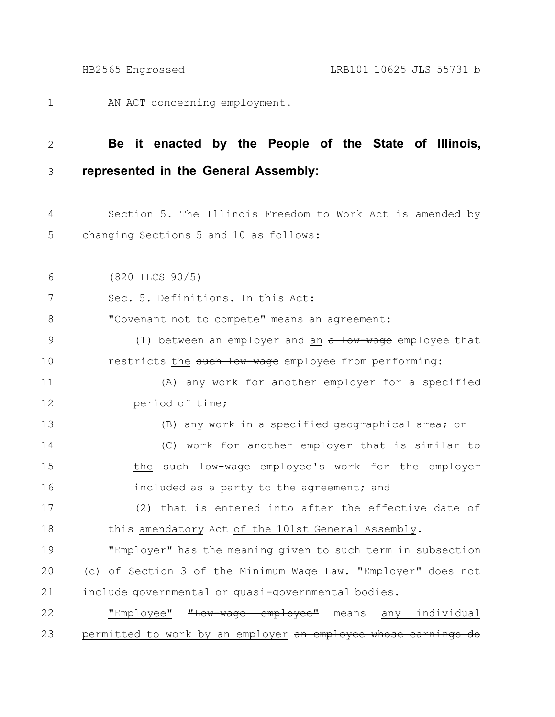AN ACT concerning employment. 1

## **Be it enacted by the People of the State of Illinois, represented in the General Assembly:** 2 3

Section 5. The Illinois Freedom to Work Act is amended by changing Sections 5 and 10 as follows: 4 5

(820 ILCS 90/5) 6

Sec. 5. Definitions. In this Act: 7

"Covenant not to compete" means an agreement: 8

(1) between an employer and an a low-wage employee that restricts the such low-wage employee from performing: 9 10

(A) any work for another employer for a specified period of time; 11 12

(B) any work in a specified geographical area; or (C) work for another employer that is similar to the such low-wage employee's work for the employer included as a party to the agreement; and 13 14 15 16

(2) that is entered into after the effective date of this amendatory Act of the 101st General Assembly. 17 18

"Employer" has the meaning given to such term in subsection (c) of Section 3 of the Minimum Wage Law. "Employer" does not include governmental or quasi-governmental bodies. 19 20 21

"Employee" "Low-wage employee" means any individual permitted to work by an employer an employee whose earnings do 22 23